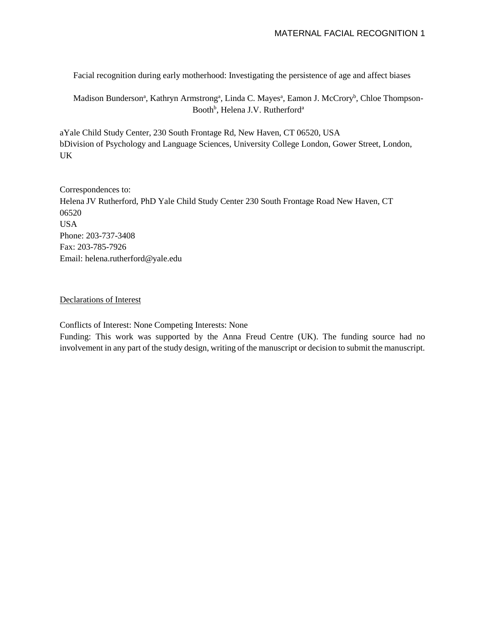Facial recognition during early motherhood: Investigating the persistence of age and affect biases

Madison Bunderson<sup>a</sup>, Kathryn Armstrong<sup>a</sup>, Linda C. Mayes<sup>a</sup>, Eamon J. McCrory<sup>b</sup>, Chloe Thompson-Booth<sup>b</sup>, Helena J.V. Rutherford<sup>a</sup>

aYale Child Study Center, 230 South Frontage Rd, New Haven, CT 06520, USA bDivision of Psychology and Language Sciences, University College London, Gower Street, London, UK

Correspondences to: Helena JV Rutherford, PhD Yale Child Study Center 230 South Frontage Road New Haven, CT 06520 USA Phone: 203-737-3408 Fax: 203-785-7926 Email: helena.rutherford@yale.edu

Declarations of Interest

Conflicts of Interest: None Competing Interests: None

Funding: This work was supported by the Anna Freud Centre (UK). The funding source had no involvement in any part of the study design, writing of the manuscript or decision to submit the manuscript.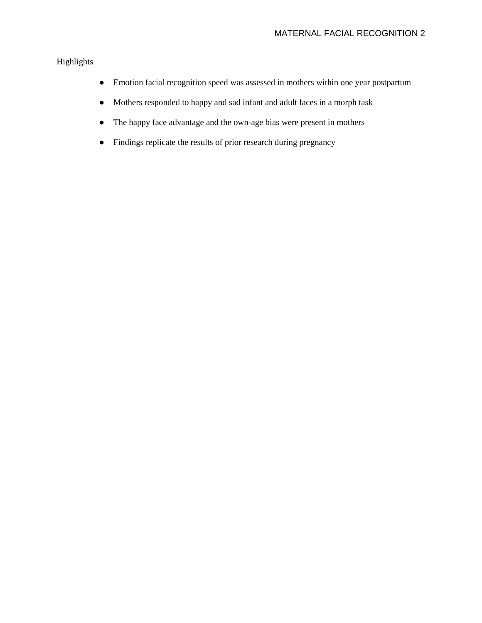# Highlights

- Emotion facial recognition speed was assessed in mothers within one year postpartum
- Mothers responded to happy and sad infant and adult faces in a morph task
- The happy face advantage and the own-age bias were present in mothers
- Findings replicate the results of prior research during pregnancy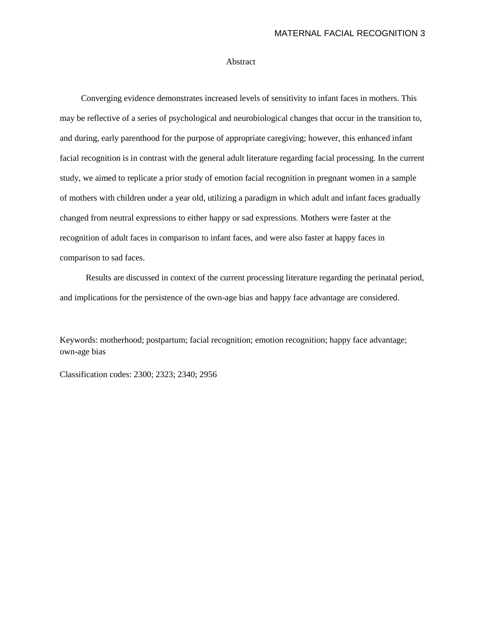### Abstract

Converging evidence demonstrates increased levels of sensitivity to infant faces in mothers. This may be reflective of a series of psychological and neurobiological changes that occur in the transition to, and during, early parenthood for the purpose of appropriate caregiving; however, this enhanced infant facial recognition is in contrast with the general adult literature regarding facial processing. In the current study, we aimed to replicate a prior study of emotion facial recognition in pregnant women in a sample of mothers with children under a year old, utilizing a paradigm in which adult and infant faces gradually changed from neutral expressions to either happy or sad expressions. Mothers were faster at the recognition of adult faces in comparison to infant faces, and were also faster at happy faces in comparison to sad faces.

 Results are discussed in context of the current processing literature regarding the perinatal period, and implications for the persistence of the own-age bias and happy face advantage are considered.

Keywords: motherhood; postpartum; facial recognition; emotion recognition; happy face advantage; own-age bias

Classification codes: 2300; 2323; 2340; 2956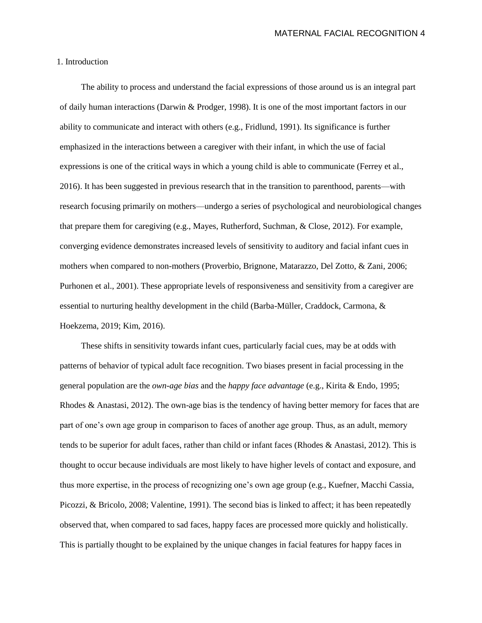1. Introduction

The ability to process and understand the facial expressions of those around us is an integral part of daily human interactions (Darwin & Prodger, 1998). It is one of the most important factors in our ability to communicate and interact with others (e.g., Fridlund, 1991). Its significance is further emphasized in the interactions between a caregiver with their infant, in which the use of facial expressions is one of the critical ways in which a young child is able to communicate (Ferrey et al., 2016). It has been suggested in previous research that in the transition to parenthood, parents—with research focusing primarily on mothers—undergo a series of psychological and neurobiological changes that prepare them for caregiving (e.g., Mayes, Rutherford, Suchman, & Close, 2012). For example, converging evidence demonstrates increased levels of sensitivity to auditory and facial infant cues in mothers when compared to non-mothers (Proverbio, Brignone, Matarazzo, Del Zotto, & Zani, 2006; Purhonen et al., 2001). These appropriate levels of responsiveness and sensitivity from a caregiver are essential to nurturing healthy development in the child (Barba-Müller, Craddock, Carmona, & Hoekzema, 2019; Kim, 2016).

These shifts in sensitivity towards infant cues, particularly facial cues, may be at odds with patterns of behavior of typical adult face recognition. Two biases present in facial processing in the general population are the *own-age bias* and the *happy face advantage* (e.g., Kirita & Endo, 1995; Rhodes & Anastasi, 2012). The own-age bias is the tendency of having better memory for faces that are part of one's own age group in comparison to faces of another age group. Thus, as an adult, memory tends to be superior for adult faces, rather than child or infant faces (Rhodes & Anastasi, 2012). This is thought to occur because individuals are most likely to have higher levels of contact and exposure, and thus more expertise, in the process of recognizing one's own age group (e.g., Kuefner, Macchi Cassia, Picozzi, & Bricolo, 2008; Valentine, 1991). The second bias is linked to affect; it has been repeatedly observed that, when compared to sad faces, happy faces are processed more quickly and holistically. This is partially thought to be explained by the unique changes in facial features for happy faces in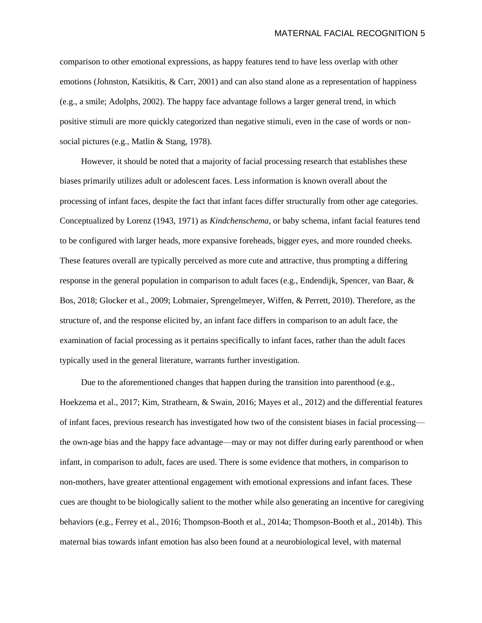comparison to other emotional expressions, as happy features tend to have less overlap with other emotions (Johnston, Katsikitis, & Carr, 2001) and can also stand alone as a representation of happiness (e.g., a smile; Adolphs, 2002). The happy face advantage follows a larger general trend, in which positive stimuli are more quickly categorized than negative stimuli, even in the case of words or nonsocial pictures (e.g., Matlin & Stang, 1978).

However, it should be noted that a majority of facial processing research that establishes these biases primarily utilizes adult or adolescent faces. Less information is known overall about the processing of infant faces, despite the fact that infant faces differ structurally from other age categories. Conceptualized by Lorenz (1943, 1971) as *Kindchenschema,* or baby schema, infant facial features tend to be configured with larger heads, more expansive foreheads, bigger eyes, and more rounded cheeks. These features overall are typically perceived as more cute and attractive, thus prompting a differing response in the general population in comparison to adult faces (e.g., Endendijk, Spencer, van Baar, & Bos, 2018; Glocker et al., 2009; Lobmaier, Sprengelmeyer, Wiffen, & Perrett, 2010). Therefore, as the structure of, and the response elicited by, an infant face differs in comparison to an adult face, the examination of facial processing as it pertains specifically to infant faces, rather than the adult faces typically used in the general literature, warrants further investigation.

Due to the aforementioned changes that happen during the transition into parenthood (e.g., Hoekzema et al., 2017; Kim, Strathearn, & Swain, 2016; Mayes et al., 2012) and the differential features of infant faces, previous research has investigated how two of the consistent biases in facial processing the own-age bias and the happy face advantage—may or may not differ during early parenthood or when infant, in comparison to adult, faces are used. There is some evidence that mothers, in comparison to non-mothers, have greater attentional engagement with emotional expressions and infant faces. These cues are thought to be biologically salient to the mother while also generating an incentive for caregiving behaviors (e.g., Ferrey et al., 2016; Thompson-Booth et al., 2014a; Thompson-Booth et al., 2014b). This maternal bias towards infant emotion has also been found at a neurobiological level, with maternal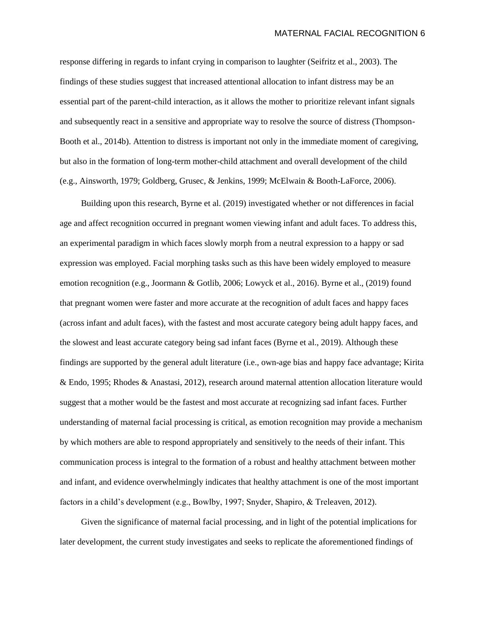response differing in regards to infant crying in comparison to laughter (Seifritz et al., 2003). The findings of these studies suggest that increased attentional allocation to infant distress may be an essential part of the parent-child interaction, as it allows the mother to prioritize relevant infant signals and subsequently react in a sensitive and appropriate way to resolve the source of distress (Thompson-Booth et al., 2014b). Attention to distress is important not only in the immediate moment of caregiving, but also in the formation of long-term mother-child attachment and overall development of the child (e.g., Ainsworth, 1979; Goldberg, Grusec, & Jenkins, 1999; McElwain & Booth-LaForce, 2006).

Building upon this research, Byrne et al. (2019) investigated whether or not differences in facial age and affect recognition occurred in pregnant women viewing infant and adult faces. To address this, an experimental paradigm in which faces slowly morph from a neutral expression to a happy or sad expression was employed. Facial morphing tasks such as this have been widely employed to measure emotion recognition (e.g., Joormann & Gotlib, 2006; Lowyck et al., 2016). Byrne et al., (2019) found that pregnant women were faster and more accurate at the recognition of adult faces and happy faces (across infant and adult faces), with the fastest and most accurate category being adult happy faces, and the slowest and least accurate category being sad infant faces (Byrne et al., 2019). Although these findings are supported by the general adult literature (i.e., own-age bias and happy face advantage; Kirita & Endo, 1995; Rhodes & Anastasi, 2012), research around maternal attention allocation literature would suggest that a mother would be the fastest and most accurate at recognizing sad infant faces. Further understanding of maternal facial processing is critical, as emotion recognition may provide a mechanism by which mothers are able to respond appropriately and sensitively to the needs of their infant. This communication process is integral to the formation of a robust and healthy attachment between mother and infant, and evidence overwhelmingly indicates that healthy attachment is one of the most important factors in a child's development (e.g., Bowlby, 1997; Snyder, Shapiro, & Treleaven, 2012).

Given the significance of maternal facial processing, and in light of the potential implications for later development, the current study investigates and seeks to replicate the aforementioned findings of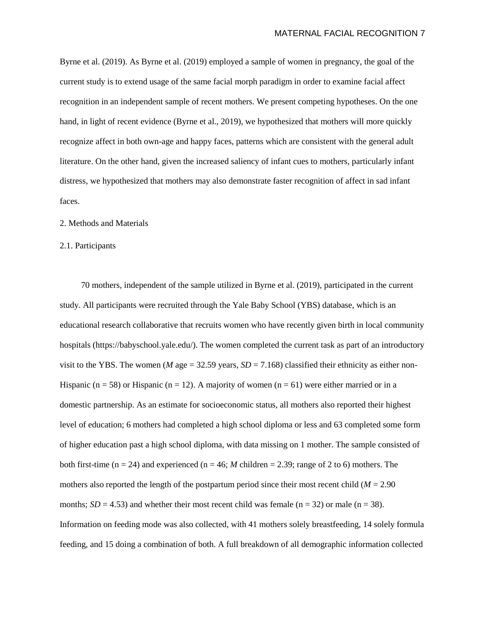Byrne et al. (2019). As Byrne et al. (2019) employed a sample of women in pregnancy, the goal of the current study is to extend usage of the same facial morph paradigm in order to examine facial affect recognition in an independent sample of recent mothers. We present competing hypotheses. On the one hand, in light of recent evidence (Byrne et al., 2019), we hypothesized that mothers will more quickly recognize affect in both own-age and happy faces, patterns which are consistent with the general adult literature. On the other hand, given the increased saliency of infant cues to mothers, particularly infant distress, we hypothesized that mothers may also demonstrate faster recognition of affect in sad infant faces.

#### 2. Methods and Materials

#### 2.1. Participants

70 mothers, independent of the sample utilized in Byrne et al. (2019), participated in the current study. All participants were recruited through the Yale Baby School (YBS) database, which is an educational research collaborative that recruits women who have recently given birth in local community hospitals (https://babyschool.yale.edu/). The women completed the current task as part of an introductory visit to the YBS. The women (*M* age = 32.59 years,  $SD = 7.168$ ) classified their ethnicity as either non-Hispanic ( $n = 58$ ) or Hispanic ( $n = 12$ ). A majority of women ( $n = 61$ ) were either married or in a domestic partnership. As an estimate for socioeconomic status, all mothers also reported their highest level of education; 6 mothers had completed a high school diploma or less and 63 completed some form of higher education past a high school diploma, with data missing on 1 mother. The sample consisted of both first-time ( $n = 24$ ) and experienced ( $n = 46$ ; *M* children = 2.39; range of 2 to 6) mothers. The mothers also reported the length of the postpartum period since their most recent child ( $M = 2.90$ ) months;  $SD = 4.53$ ) and whether their most recent child was female ( $n = 32$ ) or male ( $n = 38$ ). Information on feeding mode was also collected, with 41 mothers solely breastfeeding, 14 solely formula feeding, and 15 doing a combination of both. A full breakdown of all demographic information collected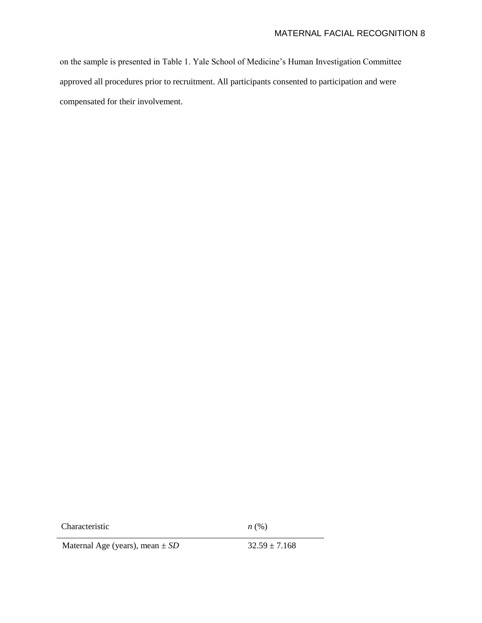on the sample is presented in Table 1. Yale School of Medicine's Human Investigation Committee approved all procedures prior to recruitment. All participants consented to participation and were compensated for their involvement.

Characteristic *n* (%)

Maternal Age (years), mean  $\pm SD$  32.59  $\pm 7.168$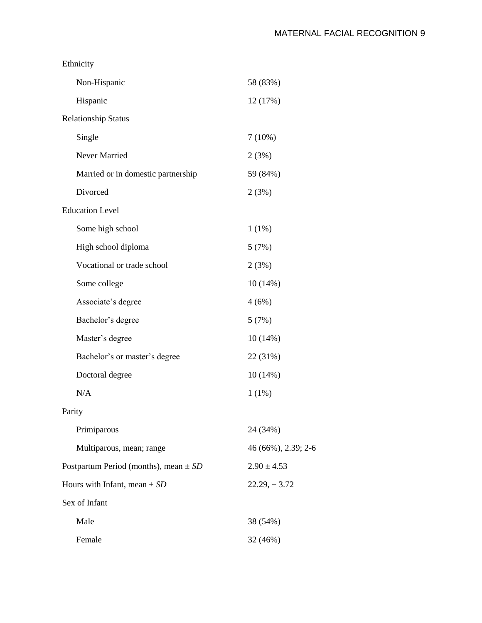| Ethnicity                                 |                     |
|-------------------------------------------|---------------------|
| Non-Hispanic                              | 58 (83%)            |
| Hispanic                                  | 12 (17%)            |
| <b>Relationship Status</b>                |                     |
| Single                                    | 7(10%)              |
| Never Married                             | 2(3%)               |
| Married or in domestic partnership        | 59 (84%)            |
| Divorced                                  | 2(3%)               |
| <b>Education Level</b>                    |                     |
| Some high school                          | $1(1\%)$            |
| High school diploma                       | 5(7%)               |
| Vocational or trade school                | 2(3%)               |
| Some college                              | 10(14%)             |
| Associate's degree                        | 4(6%)               |
| Bachelor's degree                         | 5(7%)               |
| Master's degree                           | 10(14%)             |
| Bachelor's or master's degree             | 22 (31%)            |
| Doctoral degree                           | 10(14%)             |
| N/A                                       | $1(1\%)$            |
| Parity                                    |                     |
| Primiparous                               | 24 (34%)            |
| Multiparous, mean; range                  | 46 (66%), 2.39; 2-6 |
| Postpartum Period (months), mean $\pm SD$ | $2.90 \pm 4.53$     |
| Hours with Infant, mean $\pm SD$          | $22.29 + 3.72$      |
| Sex of Infant                             |                     |
| Male                                      | 38 (54%)            |
| Female                                    | 32 (46%)            |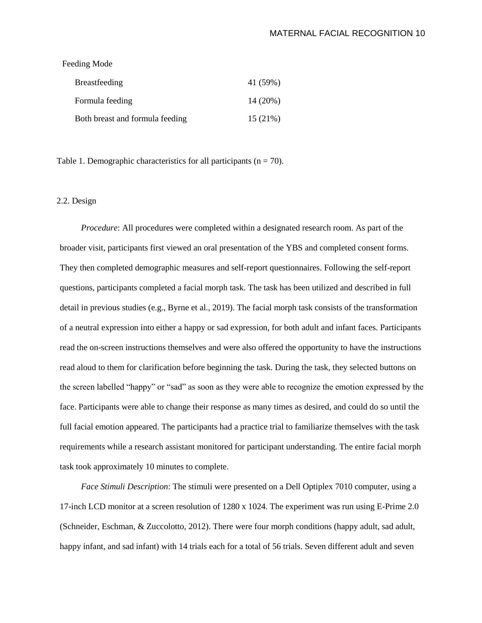### Feeding Mode

| <b>Breastfeeding</b>            | 41 (59%) |
|---------------------------------|----------|
| Formula feeding                 | 14 (20%) |
| Both breast and formula feeding | 15(21%)  |

Table 1. Demographic characteristics for all participants ( $n = 70$ ).

2.2. Design

*Procedure*: All procedures were completed within a designated research room. As part of the broader visit, participants first viewed an oral presentation of the YBS and completed consent forms. They then completed demographic measures and self-report questionnaires. Following the self-report questions, participants completed a facial morph task. The task has been utilized and described in full detail in previous studies (e.g., Byrne et al., 2019). The facial morph task consists of the transformation of a neutral expression into either a happy or sad expression, for both adult and infant faces. Participants read the on-screen instructions themselves and were also offered the opportunity to have the instructions read aloud to them for clarification before beginning the task. During the task, they selected buttons on the screen labelled "happy" or "sad" as soon as they were able to recognize the emotion expressed by the face. Participants were able to change their response as many times as desired, and could do so until the full facial emotion appeared. The participants had a practice trial to familiarize themselves with the task requirements while a research assistant monitored for participant understanding. The entire facial morph task took approximately 10 minutes to complete.

*Face Stimuli Description*: The stimuli were presented on a Dell Optiplex 7010 computer, using a 17-inch LCD monitor at a screen resolution of 1280 x 1024. The experiment was run using E-Prime 2.0 (Schneider, Eschman, & Zuccolotto, 2012). There were four morph conditions (happy adult, sad adult, happy infant, and sad infant) with 14 trials each for a total of 56 trials. Seven different adult and seven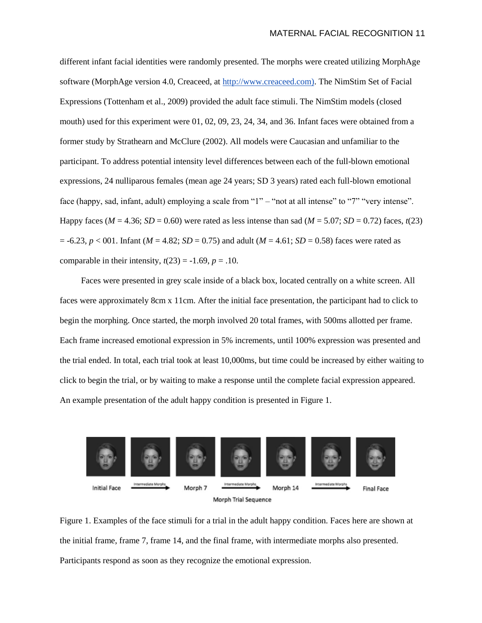different infant facial identities were randomly presented. The morphs were created utilizing MorphAge software (MorphAge version 4.0, Creaceed, at http://www.creaceed.com). The NimStim Set of Facial Expressions (Tottenham et al., 2009) provided the adult face stimuli. The NimStim models (closed mouth) used for this experiment were 01, 02, 09, 23, 24, 34, and 36. Infant faces were obtained from a former study by Strathearn and McClure (2002). All models were Caucasian and unfamiliar to the participant. To address potential intensity level differences between each of the full-blown emotional expressions, 24 nulliparous females (mean age 24 years; SD 3 years) rated each full-blown emotional face (happy, sad, infant, adult) employing a scale from "1" – "not at all intense" to "7" "very intense". Happy faces ( $M = 4.36$ ;  $SD = 0.60$ ) were rated as less intense than sad ( $M = 5.07$ ;  $SD = 0.72$ ) faces,  $t(23)$ = -6.23, *p* < 001. Infant (*M* = 4.82; *SD* = 0.75) and adult (*M* = 4.61; *SD* = 0.58) faces were rated as comparable in their intensity,  $t(23) = -1.69$ ,  $p = .10$ .

Faces were presented in grey scale inside of a black box, located centrally on a white screen. All faces were approximately 8cm x 11cm. After the initial face presentation, the participant had to click to begin the morphing. Once started, the morph involved 20 total frames, with 500ms allotted per frame. Each frame increased emotional expression in 5% increments, until 100% expression was presented and the trial ended. In total, each trial took at least 10,000ms, but time could be increased by either waiting to click to begin the trial, or by waiting to make a response until the complete facial expression appeared. An example presentation of the adult happy condition is presented in Figure 1.



Figure 1. Examples of the face stimuli for a trial in the adult happy condition. Faces here are shown at the initial frame, frame 7, frame 14, and the final frame, with intermediate morphs also presented. Participants respond as soon as they recognize the emotional expression.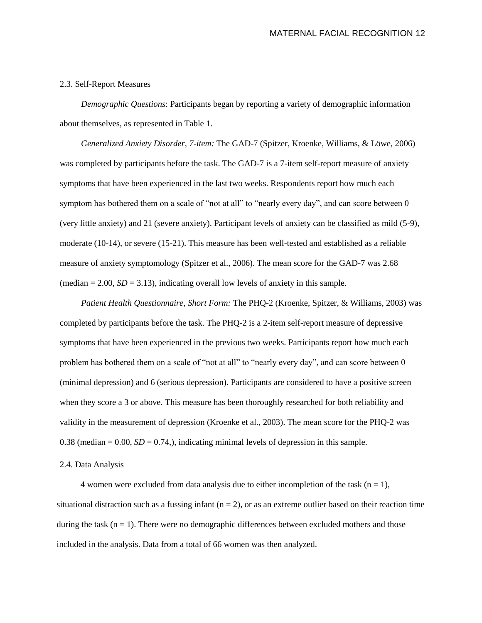### 2.3. Self-Report Measures

*Demographic Questions*: Participants began by reporting a variety of demographic information about themselves, as represented in Table 1.

*Generalized Anxiety Disorder, 7-item:* The GAD-7 (Spitzer, Kroenke, Williams, & Löwe, 2006) was completed by participants before the task. The GAD-7 is a 7-item self-report measure of anxiety symptoms that have been experienced in the last two weeks. Respondents report how much each symptom has bothered them on a scale of "not at all" to "nearly every day", and can score between 0 (very little anxiety) and 21 (severe anxiety). Participant levels of anxiety can be classified as mild (5-9), moderate (10-14), or severe (15-21). This measure has been well-tested and established as a reliable measure of anxiety symptomology (Spitzer et al., 2006). The mean score for the GAD-7 was 2.68 (median  $= 2.00$ ,  $SD = 3.13$ ), indicating overall low levels of anxiety in this sample.

*Patient Health Questionnaire, Short Form:* The PHQ-2 (Kroenke, Spitzer, & Williams, 2003) was completed by participants before the task. The PHQ-2 is a 2-item self-report measure of depressive symptoms that have been experienced in the previous two weeks. Participants report how much each problem has bothered them on a scale of "not at all" to "nearly every day", and can score between 0 (minimal depression) and 6 (serious depression). Participants are considered to have a positive screen when they score a 3 or above. This measure has been thoroughly researched for both reliability and validity in the measurement of depression (Kroenke et al., 2003). The mean score for the PHQ-2 was 0.38 (median  $= 0.00$ ,  $SD = 0.74$ .), indicating minimal levels of depression in this sample.

### 2.4. Data Analysis

4 women were excluded from data analysis due to either incompletion of the task ( $n = 1$ ), situational distraction such as a fussing infant  $(n = 2)$ , or as an extreme outlier based on their reaction time during the task  $(n = 1)$ . There were no demographic differences between excluded mothers and those included in the analysis. Data from a total of 66 women was then analyzed.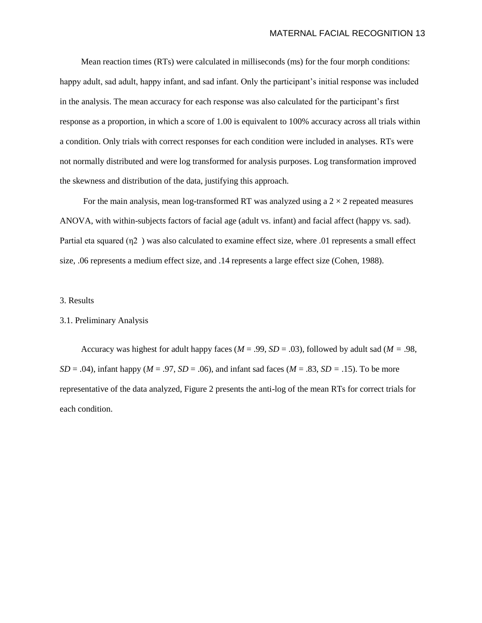Mean reaction times (RTs) were calculated in milliseconds (ms) for the four morph conditions: happy adult, sad adult, happy infant, and sad infant. Only the participant's initial response was included in the analysis. The mean accuracy for each response was also calculated for the participant's first response as a proportion, in which a score of 1.00 is equivalent to 100% accuracy across all trials within a condition. Only trials with correct responses for each condition were included in analyses. RTs were not normally distributed and were log transformed for analysis purposes. Log transformation improved the skewness and distribution of the data, justifying this approach.

For the main analysis, mean log-transformed RT was analyzed using a  $2 \times 2$  repeated measures ANOVA, with within-subjects factors of facial age (adult vs. infant) and facial affect (happy vs. sad). Partial eta squared (η2 ) was also calculated to examine effect size, where .01 represents a small effect size, .06 represents a medium effect size, and .14 represents a large effect size (Cohen, 1988).

# 3. Results

# 3.1. Preliminary Analysis

Accuracy was highest for adult happy faces (*M* = .99, *SD* = .03), followed by adult sad (*M =* .98,  $SD = .04$ ), infant happy ( $M = .97$ ,  $SD = .06$ ), and infant sad faces ( $M = .83$ ,  $SD = .15$ ). To be more representative of the data analyzed, Figure 2 presents the anti-log of the mean RTs for correct trials for each condition.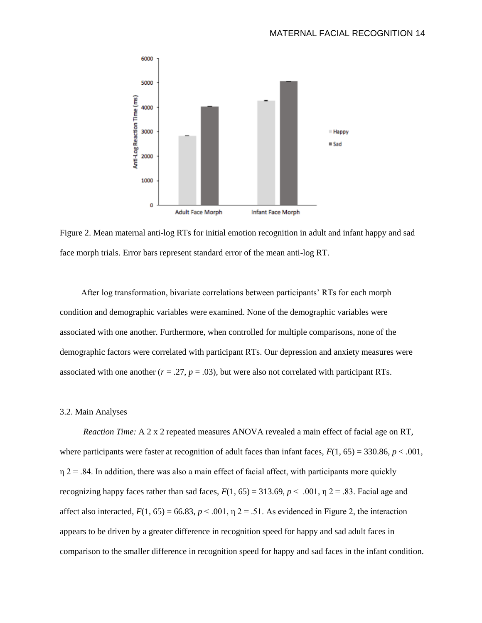

Figure 2. Mean maternal anti-log RTs for initial emotion recognition in adult and infant happy and sad face morph trials. Error bars represent standard error of the mean anti-log RT.

After log transformation, bivariate correlations between participants' RTs for each morph condition and demographic variables were examined. None of the demographic variables were associated with one another. Furthermore, when controlled for multiple comparisons, none of the demographic factors were correlated with participant RTs. Our depression and anxiety measures were associated with one another  $(r = .27, p = .03)$ , but were also not correlated with participant RTs.

### 3.2. Main Analyses

*Reaction Time:* A 2 x 2 repeated measures ANOVA revealed a main effect of facial age on RT, where participants were faster at recognition of adult faces than infant faces,  $F(1, 65) = 330.86$ ,  $p < .001$ ,  $\eta$  2 = .84. In addition, there was also a main effect of facial affect, with participants more quickly recognizing happy faces rather than sad faces,  $F(1, 65) = 313.69$ ,  $p < .001$ ,  $p \ge .83$ . Facial age and affect also interacted,  $F(1, 65) = 66.83$ ,  $p < .001$ ,  $p = .51$ . As evidenced in Figure 2, the interaction appears to be driven by a greater difference in recognition speed for happy and sad adult faces in comparison to the smaller difference in recognition speed for happy and sad faces in the infant condition.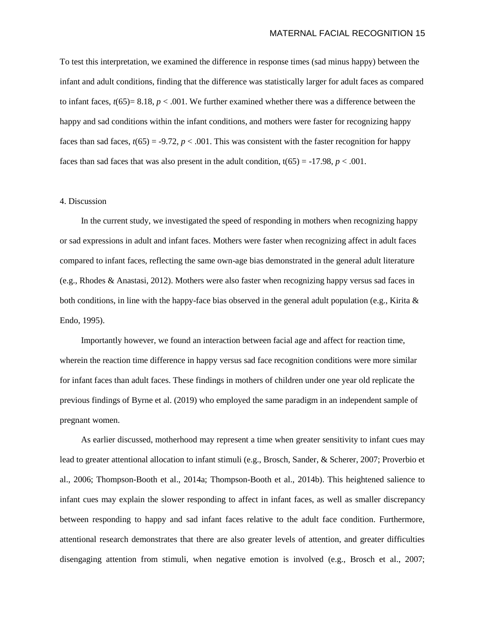To test this interpretation, we examined the difference in response times (sad minus happy) between the infant and adult conditions, finding that the difference was statistically larger for adult faces as compared to infant faces,  $t(65)=8.18$ ,  $p < .001$ . We further examined whether there was a difference between the happy and sad conditions within the infant conditions, and mothers were faster for recognizing happy faces than sad faces,  $t(65) = -9.72$ ,  $p < .001$ . This was consistent with the faster recognition for happy faces than sad faces that was also present in the adult condition,  $t(65) = -17.98$ ,  $p < .001$ .

### 4. Discussion

In the current study, we investigated the speed of responding in mothers when recognizing happy or sad expressions in adult and infant faces. Mothers were faster when recognizing affect in adult faces compared to infant faces, reflecting the same own-age bias demonstrated in the general adult literature (e.g., Rhodes & Anastasi, 2012). Mothers were also faster when recognizing happy versus sad faces in both conditions, in line with the happy-face bias observed in the general adult population (e.g., Kirita  $\&$ Endo, 1995).

Importantly however, we found an interaction between facial age and affect for reaction time, wherein the reaction time difference in happy versus sad face recognition conditions were more similar for infant faces than adult faces. These findings in mothers of children under one year old replicate the previous findings of Byrne et al. (2019) who employed the same paradigm in an independent sample of pregnant women.

As earlier discussed, motherhood may represent a time when greater sensitivity to infant cues may lead to greater attentional allocation to infant stimuli (e.g., Brosch, Sander, & Scherer, 2007; Proverbio et al., 2006; Thompson-Booth et al., 2014a; Thompson-Booth et al., 2014b). This heightened salience to infant cues may explain the slower responding to affect in infant faces, as well as smaller discrepancy between responding to happy and sad infant faces relative to the adult face condition. Furthermore, attentional research demonstrates that there are also greater levels of attention, and greater difficulties disengaging attention from stimuli, when negative emotion is involved (e.g., Brosch et al., 2007;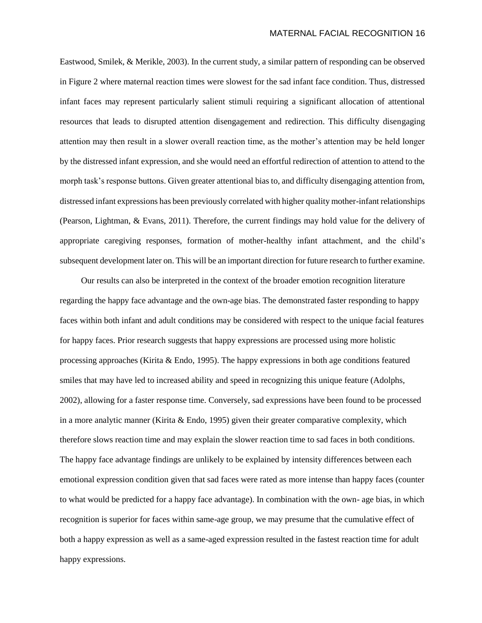Eastwood, Smilek, & Merikle, 2003). In the current study, a similar pattern of responding can be observed in Figure 2 where maternal reaction times were slowest for the sad infant face condition. Thus, distressed infant faces may represent particularly salient stimuli requiring a significant allocation of attentional resources that leads to disrupted attention disengagement and redirection. This difficulty disengaging attention may then result in a slower overall reaction time, as the mother's attention may be held longer by the distressed infant expression, and she would need an effortful redirection of attention to attend to the morph task's response buttons. Given greater attentional bias to, and difficulty disengaging attention from, distressed infant expressions has been previously correlated with higher quality mother-infant relationships (Pearson, Lightman, & Evans, 2011). Therefore, the current findings may hold value for the delivery of appropriate caregiving responses, formation of mother-healthy infant attachment, and the child's subsequent development later on. This will be an important direction for future research to further examine.

Our results can also be interpreted in the context of the broader emotion recognition literature regarding the happy face advantage and the own-age bias. The demonstrated faster responding to happy faces within both infant and adult conditions may be considered with respect to the unique facial features for happy faces. Prior research suggests that happy expressions are processed using more holistic processing approaches (Kirita & Endo, 1995). The happy expressions in both age conditions featured smiles that may have led to increased ability and speed in recognizing this unique feature (Adolphs, 2002), allowing for a faster response time. Conversely, sad expressions have been found to be processed in a more analytic manner (Kirita & Endo, 1995) given their greater comparative complexity, which therefore slows reaction time and may explain the slower reaction time to sad faces in both conditions. The happy face advantage findings are unlikely to be explained by intensity differences between each emotional expression condition given that sad faces were rated as more intense than happy faces (counter to what would be predicted for a happy face advantage). In combination with the own- age bias, in which recognition is superior for faces within same-age group, we may presume that the cumulative effect of both a happy expression as well as a same-aged expression resulted in the fastest reaction time for adult happy expressions.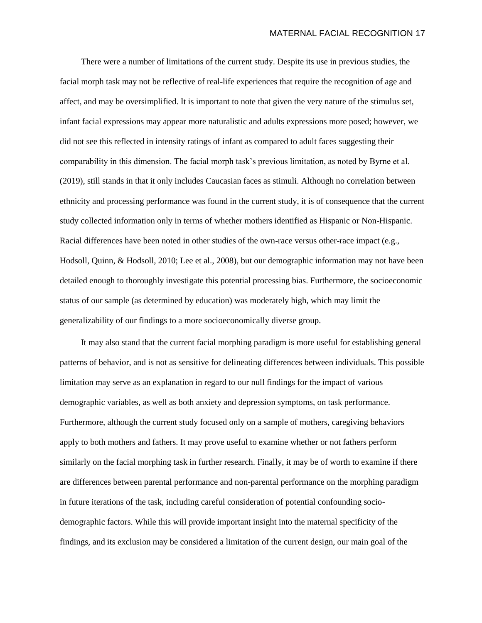There were a number of limitations of the current study. Despite its use in previous studies, the facial morph task may not be reflective of real-life experiences that require the recognition of age and affect, and may be oversimplified. It is important to note that given the very nature of the stimulus set, infant facial expressions may appear more naturalistic and adults expressions more posed; however, we did not see this reflected in intensity ratings of infant as compared to adult faces suggesting their comparability in this dimension. The facial morph task's previous limitation, as noted by Byrne et al. (2019), still stands in that it only includes Caucasian faces as stimuli. Although no correlation between ethnicity and processing performance was found in the current study, it is of consequence that the current study collected information only in terms of whether mothers identified as Hispanic or Non-Hispanic. Racial differences have been noted in other studies of the own-race versus other-race impact (e.g., Hodsoll, Quinn, & Hodsoll, 2010; Lee et al., 2008), but our demographic information may not have been detailed enough to thoroughly investigate this potential processing bias. Furthermore, the socioeconomic status of our sample (as determined by education) was moderately high, which may limit the generalizability of our findings to a more socioeconomically diverse group.

It may also stand that the current facial morphing paradigm is more useful for establishing general patterns of behavior, and is not as sensitive for delineating differences between individuals. This possible limitation may serve as an explanation in regard to our null findings for the impact of various demographic variables, as well as both anxiety and depression symptoms, on task performance. Furthermore, although the current study focused only on a sample of mothers, caregiving behaviors apply to both mothers and fathers. It may prove useful to examine whether or not fathers perform similarly on the facial morphing task in further research. Finally, it may be of worth to examine if there are differences between parental performance and non-parental performance on the morphing paradigm in future iterations of the task, including careful consideration of potential confounding sociodemographic factors. While this will provide important insight into the maternal specificity of the findings, and its exclusion may be considered a limitation of the current design, our main goal of the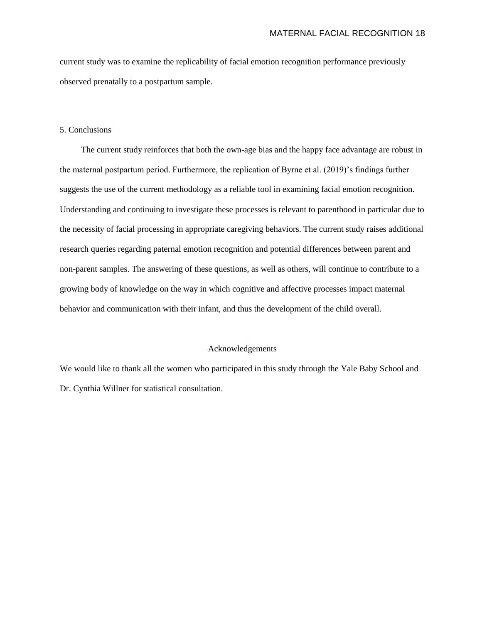current study was to examine the replicability of facial emotion recognition performance previously observed prenatally to a postpartum sample.

# 5. Conclusions

The current study reinforces that both the own-age bias and the happy face advantage are robust in the maternal postpartum period. Furthermore, the replication of Byrne et al. (2019)'s findings further suggests the use of the current methodology as a reliable tool in examining facial emotion recognition. Understanding and continuing to investigate these processes is relevant to parenthood in particular due to the necessity of facial processing in appropriate caregiving behaviors. The current study raises additional research queries regarding paternal emotion recognition and potential differences between parent and non-parent samples. The answering of these questions, as well as others, will continue to contribute to a growing body of knowledge on the way in which cognitive and affective processes impact maternal behavior and communication with their infant, and thus the development of the child overall.

#### Acknowledgements

We would like to thank all the women who participated in this study through the Yale Baby School and Dr. Cynthia Willner for statistical consultation.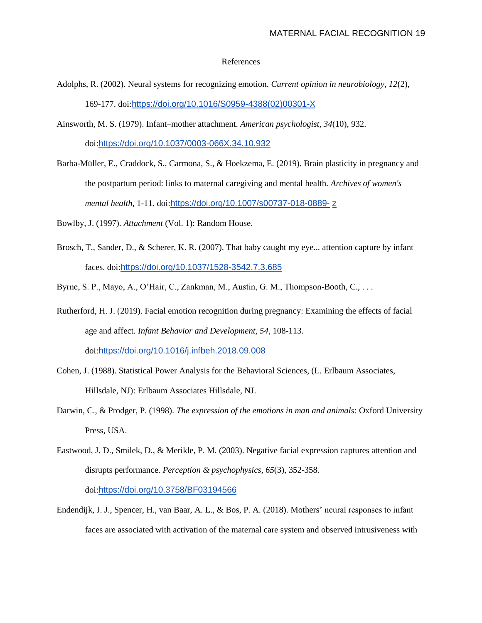### References

- Adolphs, R. (2002). Neural systems for recognizing emotion. *Current opinion in neurobiology, 12*(2), 169-177. doi:[https://doi.org/10.1016/S0959-4388\(02\)00301-X](https://doi.org/10.1016/S0959-4388(02)00301-X)
- Ainsworth, M. S. (1979). Infant–mother attachment. *American psychologist, 34*(10), 932. doi:<https://doi.org/10.1037/0003-066X.34.10.932>
- Barba-Müller, E., Craddock, S., Carmona, S., & Hoekzema, E. (2019). Brain plasticity in pregnancy and the postpartum period: links to maternal caregiving and mental health. *Archives of women's mental health*, 1-11. doi:[https://doi.org/10.1007/s00737-018-0889-](https://doi.org/10.1007/s00737-018-0889-z) [z](https://doi.org/10.1007/s00737-018-0889-z)
- Bowlby, J. (1997). *Attachment* (Vol. 1): Random House.
- Brosch, T., Sander, D., & Scherer, K. R. (2007). That baby caught my eye... attention capture by infant faces. doi:<https://doi.org/10.1037/1528-3542.7.3.685>

Byrne, S. P., Mayo, A., O'Hair, C., Zankman, M., Austin, G. M., Thompson-Booth, C., . . .

Rutherford, H. J. (2019). Facial emotion recognition during pregnancy: Examining the effects of facial age and affect. *Infant Behavior and Development, 54*, 108-113. doi:<https://doi.org/10.1016/j.infbeh.2018.09.008>

- Cohen, J. (1988). Statistical Power Analysis for the Behavioral Sciences, (L. Erlbaum Associates, Hillsdale, NJ): Erlbaum Associates Hillsdale, NJ.
- Darwin, C., & Prodger, P. (1998). *The expression of the emotions in man and animals*: Oxford University Press, USA.
- Eastwood, J. D., Smilek, D., & Merikle, P. M. (2003). Negative facial expression captures attention and disrupts performance. *Perception & psychophysics, 65*(3), 352-358. doi:<https://doi.org/10.3758/BF03194566>
- Endendijk, J. J., Spencer, H., van Baar, A. L., & Bos, P. A. (2018). Mothers' neural responses to infant faces are associated with activation of the maternal care system and observed intrusiveness with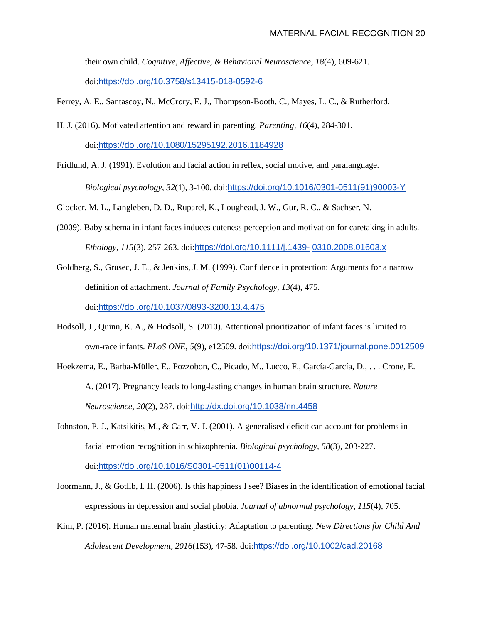their own child. *Cognitive, Affective, & Behavioral Neuroscience, 18*(4), 609-621.

doi:<https://doi.org/10.3758/s13415-018-0592-6>

- Ferrey, A. E., Santascoy, N., McCrory, E. J., Thompson-Booth, C., Mayes, L. C., & Rutherford,
- H. J. (2016). Motivated attention and reward in parenting. *Parenting, 16*(4), 284-301.

doi:<https://doi.org/10.1080/15295192.2016.1184928>

Fridlund, A. J. (1991). Evolution and facial action in reflex, social motive, and paralanguage.

 *Biological psychology, 32*(1), 3-100. doi:[https://doi.org/10.1016/0301-0511\(91\)90003-Y](https://doi.org/10.1016/0301-0511(91)90003-Y)

Glocker, M. L., Langleben, D. D., Ruparel, K., Loughead, J. W., Gur, R. C., & Sachser, N.

- (2009). Baby schema in infant faces induces cuteness perception and motivation for caretaking in adults. *Ethology, 115*(3), 257-263. doi:[https://doi.org/10.1111/j.1439-](https://doi.org/10.1111/j.1439-0310.2008.01603.x) [0310.2008.01603.x](https://doi.org/10.1111/j.1439-0310.2008.01603.x)
- Goldberg, S., Grusec, J. E., & Jenkins, J. M. (1999). Confidence in protection: Arguments for a narrow definition of attachment. *Journal of Family Psychology, 13*(4), 475. doi:<https://doi.org/10.1037/0893-3200.13.4.475>
- Hodsoll, J., Quinn, K. A., & Hodsoll, S. (2010). Attentional prioritization of infant faces is limited to own-race infants. *PLoS ONE, 5*(9), e12509. doi:<https://doi.org/10.1371/journal.pone.0012509>
- Hoekzema, E., Barba-Müller, E., Pozzobon, C., Picado, M., Lucco, F., García-García, D., . . . Crone, E. A. (2017). Pregnancy leads to long-lasting changes in human brain structure. *Nature Neuroscience, 20*(2), 287. doi:<http://dx.doi.org/10.1038/nn.4458>
- Johnston, P. J., Katsikitis, M., & Carr, V. J. (2001). A generalised deficit can account for problems in facial emotion recognition in schizophrenia. *Biological psychology, 58*(3), 203-227. doi:[https://doi.org/10.1016/S0301-0511\(01\)00114-4](https://doi.org/10.1016/S0301-0511(01)00114-4)
- Joormann, J., & Gotlib, I. H. (2006). Is this happiness I see? Biases in the identification of emotional facial expressions in depression and social phobia. *Journal of abnormal psychology, 115*(4), 705.
- Kim, P. (2016). Human maternal brain plasticity: Adaptation to parenting. *New Directions for Child And Adolescent Development, 2016*(153), 47-58. doi:<https://doi.org/10.1002/cad.20168>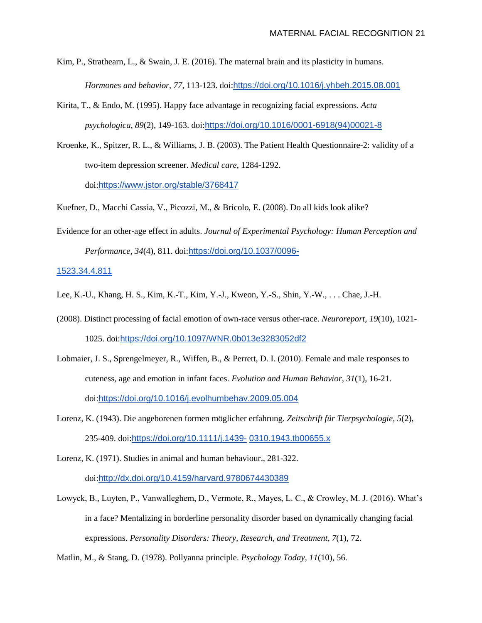Kim, P., Strathearn, L., & Swain, J. E. (2016). The maternal brain and its plasticity in humans.

*Hormones and behavior, 77*, 113-123. doi:<https://doi.org/10.1016/j.yhbeh.2015.08.001>

- Kirita, T., & Endo, M. (1995). Happy face advantage in recognizing facial expressions. *Acta psychologica, 89*(2), 149-163. doi:[https://doi.org/10.1016/0001-6918\(94\)00021-8](https://doi.org/10.1016/0001-6918(94)00021-8)
- Kroenke, K., Spitzer, R. L., & Williams, J. B. (2003). The Patient Health Questionnaire-2: validity of a two-item depression screener. *Medical care*, 1284-1292. doi:<https://www.jstor.org/stable/3768417>

Kuefner, D., Macchi Cassia, V., Picozzi, M., & Bricolo, E. (2008). Do all kids look alike?

Evidence for an other-age effect in adults. *Journal of Experimental Psychology: Human Perception and Performance, 34*(4), 811. doi:[https://doi.org/10.1037/0096-](https://doi.org/10.1037/0096-1523.34.4.811)

[1523.34.4.811](https://doi.org/10.1037/0096-1523.34.4.811)

- Lee, K.-U., Khang, H. S., Kim, K.-T., Kim, Y.-J., Kweon, Y.-S., Shin, Y.-W., . . . Chae, J.-H.
- (2008). Distinct processing of facial emotion of own-race versus other-race. *Neuroreport, 19*(10), 1021- 1025. doi:<https://doi.org/10.1097/WNR.0b013e3283052df2>
- Lobmaier, J. S., Sprengelmeyer, R., Wiffen, B., & Perrett, D. I. (2010). Female and male responses to cuteness, age and emotion in infant faces. *Evolution and Human Behavior, 31*(1), 16-21. doi:<https://doi.org/10.1016/j.evolhumbehav.2009.05.004>
- Lorenz, K. (1943). Die angeborenen formen möglicher erfahrung. *Zeitschrift für Tierpsychologie, 5*(2), 235-409. doi:[https://doi.org/10.1111/j.1439-](https://doi.org/10.1111/j.1439-0310.1943.tb00655.x) [0310.1943.tb00655.x](https://doi.org/10.1111/j.1439-0310.1943.tb00655.x)

Lorenz, K. (1971). Studies in animal and human behaviour., 281-322. doi:<http://dx.doi.org/10.4159/harvard.9780674430389>

Lowyck, B., Luyten, P., Vanwalleghem, D., Vermote, R., Mayes, L. C., & Crowley, M. J. (2016). What's in a face? Mentalizing in borderline personality disorder based on dynamically changing facial expressions. *Personality Disorders: Theory, Research, and Treatment, 7*(1), 72.

Matlin, M., & Stang, D. (1978). Pollyanna principle. *Psychology Today, 11*(10), 56.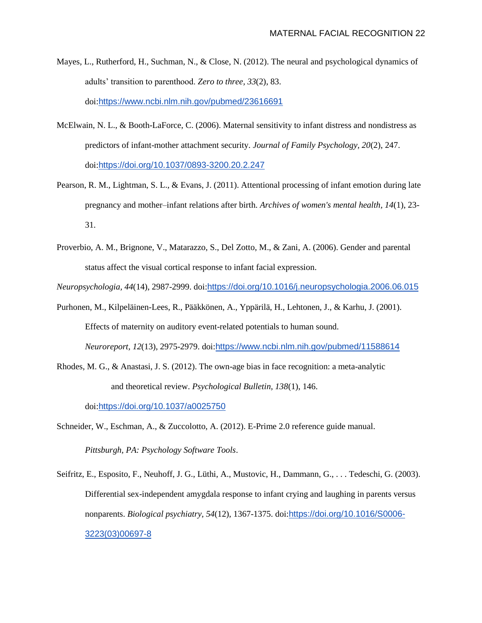- Mayes, L., Rutherford, H., Suchman, N., & Close, N. (2012). The neural and psychological dynamics of adults' transition to parenthood. *Zero to three, 33*(2), 83. doi:<https://www.ncbi.nlm.nih.gov/pubmed/23616691>
- McElwain, N. L., & Booth-LaForce, C. (2006). Maternal sensitivity to infant distress and nondistress as predictors of infant-mother attachment security. *Journal of Family Psychology, 20*(2), 247. doi:<https://doi.org/10.1037/0893-3200.20.2.247>
- Pearson, R. M., Lightman, S. L., & Evans, J. (2011). Attentional processing of infant emotion during late pregnancy and mother–infant relations after birth. *Archives of women's mental health, 14*(1), 23- 31.
- Proverbio, A. M., Brignone, V., Matarazzo, S., Del Zotto, M., & Zani, A. (2006). Gender and parental status affect the visual cortical response to infant facial expression.

*Neuropsychologia, 44*(14), 2987-2999. doi:<https://doi.org/10.1016/j.neuropsychologia.2006.06.015>

Purhonen, M., Kilpeläinen-Lees, R., Pääkkönen, A., Yppärilä, H., Lehtonen, J., & Karhu, J. (2001). Effects of maternity on auditory event-related potentials to human sound.

*Neuroreport, 12*(13), 2975-2979. doi:<https://www.ncbi.nlm.nih.gov/pubmed/11588614>

Rhodes, M. G., & Anastasi, J. S. (2012). The own-age bias in face recognition: a meta-analytic and theoretical review. *Psychological Bulletin, 138*(1), 146.

doi:<https://doi.org/10.1037/a0025750>

Schneider, W., Eschman, A., & Zuccolotto, A. (2012). E-Prime 2.0 reference guide manual.

*Pittsburgh, PA: Psychology Software Tools*.

Seifritz, E., Esposito, F., Neuhoff, J. G., Lüthi, A., Mustovic, H., Dammann, G., . . . Tedeschi, G. (2003). Differential sex-independent amygdala response to infant crying and laughing in parents versus nonparents. *Biological psychiatry, 54*(12), 1367-1375. doi:[https://doi.org/10.1016/S0006-](https://doi.org/10.1016/S0006-3223(03)00697-8) [3223\(03\)00697-8](https://doi.org/10.1016/S0006-3223(03)00697-8)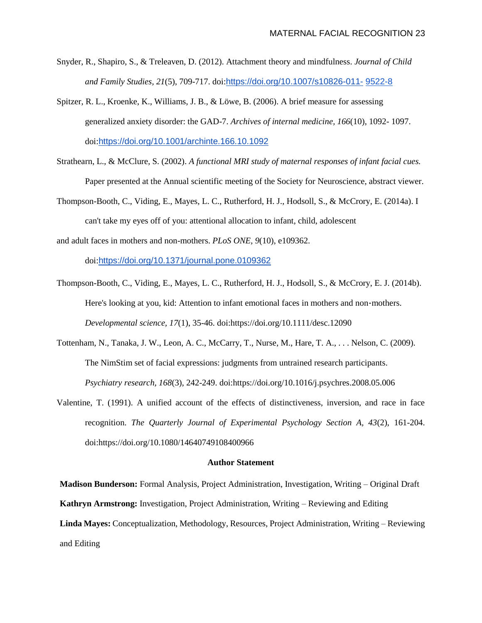- Snyder, R., Shapiro, S., & Treleaven, D. (2012). Attachment theory and mindfulness. *Journal of Child and Family Studies, 21*(5), 709-717. doi:[https://doi.org/10.1007/s10826-011-](https://doi.org/10.1007/s10826-011-9522-8) [9522-8](https://doi.org/10.1007/s10826-011-9522-8)
- Spitzer, R. L., Kroenke, K., Williams, J. B., & Löwe, B. (2006). A brief measure for assessing generalized anxiety disorder: the GAD-7. *Archives of internal medicine, 166*(10), 1092- 1097. doi:<https://doi.org/10.1001/archinte.166.10.1092>
- Strathearn, L., & McClure, S. (2002). *A functional MRI study of maternal responses of infant facial cues.*  Paper presented at the Annual scientific meeting of the Society for Neuroscience, abstract viewer.
- Thompson-Booth, C., Viding, E., Mayes, L. C., Rutherford, H. J., Hodsoll, S., & McCrory, E. (2014a). I can't take my eyes off of you: attentional allocation to infant, child, adolescent

and adult faces in mothers and non-mothers. *PLoS ONE, 9*(10), e109362.

doi:<https://doi.org/10.1371/journal.pone.0109362>

Thompson-Booth, C., Viding, E., Mayes, L. C., Rutherford, H. J., Hodsoll, S., & McCrory, E. J. (2014b). Here's looking at you, kid: Attention to infant emotional faces in mothers and non-mothers. *Developmental science, 17*(1), 35-46. doi:https://doi.org/10.1111/desc.12090

- Tottenham, N., Tanaka, J. W., Leon, A. C., McCarry, T., Nurse, M., Hare, T. A., . . . Nelson, C. (2009). The NimStim set of facial expressions: judgments from untrained research participants. *Psychiatry research, 168*(3), 242-249. doi:https://doi.org/10.1016/j.psychres.2008.05.006
- Valentine, T. (1991). A unified account of the effects of distinctiveness, inversion, and race in face recognition. *The Quarterly Journal of Experimental Psychology Section A, 43*(2), 161-204. doi:https://doi.org/10.1080/14640749108400966

### **Author Statement**

**Madison Bunderson:** Formal Analysis, Project Administration, Investigation, Writing – Original Draft **Kathryn Armstrong:** Investigation, Project Administration, Writing – Reviewing and Editing **Linda Mayes:** Conceptualization, Methodology, Resources, Project Administration, Writing – Reviewing and Editing